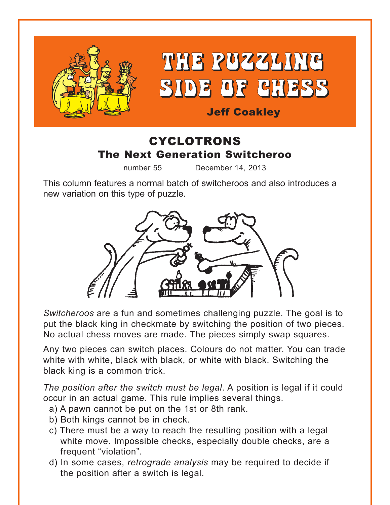

# THE PUZZLING SIDE OF CHESS

# Jeff Coakley

# CYCLOTRONS The Next Generation Switcheroo

number 55 December 14, 2013

This column features a normal batch of switcheroos and also introduces a new variation on this type of puzzle.



*Switcheroos* are a fun and sometimes challenging puzzle. The goal is to put the black king in checkmate by switching the position of two pieces. No actual chess moves are made. The pieces simply swap squares.

Any two pieces can switch places. Colours do not matter. You can trade white with white, black with black, or white with black. Switching the black king is a common trick.

*The position after the switch must be legal*. A position is legal if it could occur in an actual game. This rule implies several things.

- a) A pawn cannot be put on the 1st or 8th rank.
- b) Both kings cannot be in check.
- c) There must be a way to reach the resulting position with a legal white move. Impossible checks, especially double checks, are a frequent "violation".
- d) In some cases, *retrograde analysis* may be required to decide if the position after a switch is legal.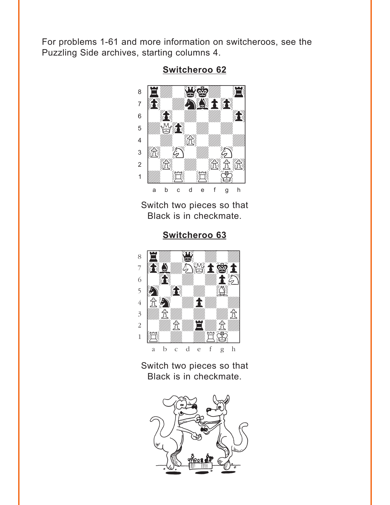<span id="page-1-0"></span>For problems 1-61 and more information on switcheroos, see the Puzzling Side archives, starting columns 4.



Switcheroo 62

Switch two pieces so that Black is in checkmate.

Switcheroo 63



## Switch two pieces so that Black is in checkmate.

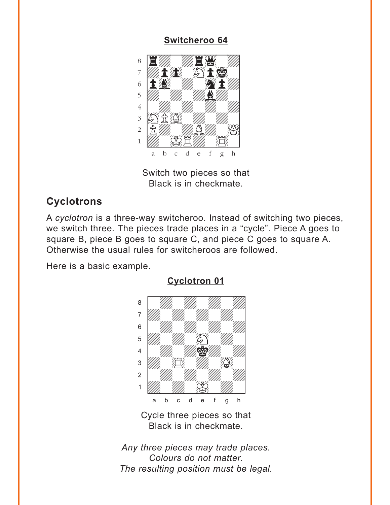#### **Switcheroo 64**

<span id="page-2-0"></span>

Switch two pieces so that Black is in checkmate.

# **Cyclotrons**

A cyclotron is a three-way switcheroo. Instead of switching two pieces, we switch three. The pieces trade places in a "cycle". Piece A goes to square B, piece B goes to square C, and piece C goes to square A. Otherwise the usual rules for switcheroos are followed.

Here is a basic example.



**Cyclotron 01** 

Cycle three pieces so that Black is in checkmate.

Any three pieces may trade places. Colours do not matter. The resulting position must be legal.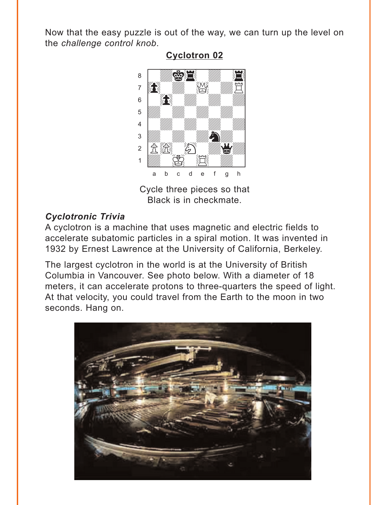<span id="page-3-0"></span>Now that the easy puzzle is out of the way, we can turn up the level on the challenge control knob.



### **Cyclotron 02**

Cycle three pieces so that Black is in checkmate.

## **Cyclotronic Trivia**

A cyclotron is a machine that uses magnetic and electric fields to accelerate subatomic particles in a spiral motion. It was invented in 1932 by Ernest Lawrence at the University of California, Berkeley.

The largest cyclotron in the world is at the University of British Columbia in Vancouver. See photo below. With a diameter of 18 meters, it can accelerate protons to three-quarters the speed of light. At that velocity, you could travel from the Earth to the moon in two seconds. Hang on.

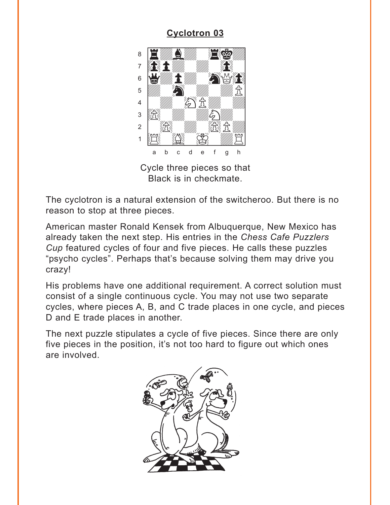# **Cyclotron 03**

<span id="page-4-0"></span>

Cycle three pieces so that Black is in checkmate.

The cyclotron is a natural extension of the switcheroo. But there is no reason to stop at three pieces.

American master Ronald Kensek from Albuquerque, New Mexico has already taken the next step. His entries in the Chess Cafe Puzzlers Cup featured cycles of four and five pieces. He calls these puzzles "psycho cycles". Perhaps that's because solving them may drive you crazy!

His problems have one additional requirement. A correct solution must consist of a single continuous cycle. You may not use two separate cycles, where pieces A, B, and C trade places in one cycle, and pieces D and E trade places in another.

The next puzzle stipulates a cycle of five pieces. Since there are only five pieces in the position, it's not too hard to figure out which ones are involved.

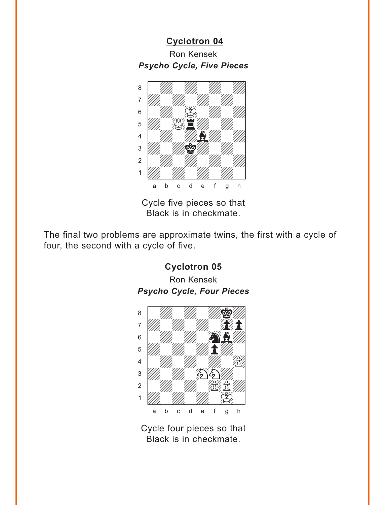<span id="page-5-0"></span>**[Cyclotron 04](#page-11-0)** Ron Kensek *Psycho Cycle, Five Pieces*



Cycle five pieces so that Black is in checkmate.

The final two problems are approximate twins, the first with a cycle of four, the second with a cycle of five.



Cycle four pieces so that Black is in checkmate.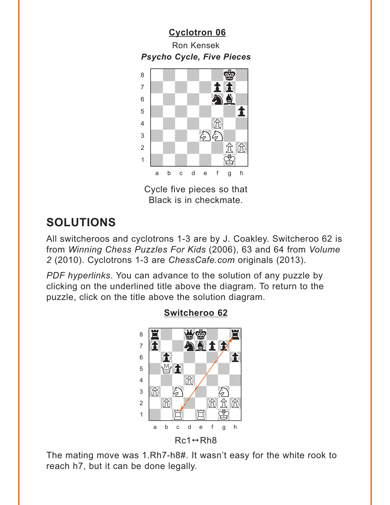# <span id="page-6-0"></span>**Cyclotron 06 Ron Kensek Psycho Cycle, Five Pieces**



Cycle five pieces so that Black is in checkmate.

# **SOLUTIONS**

All switcheroos and cyclotrons 1-3 are by J. Coakley. Switcheroo 62 is from Winning Chess Puzzles For Kids (2006), 63 and 64 from Volume 2 (2010). Cyclotrons 1-3 are ChessCafe.com originals (2013).

PDF hyperlinks. You can advance to the solution of any puzzle by clicking on the underlined title above the diagram. To return to the puzzle, click on the title above the solution diagram.



## **Switcheroo 62**

The mating move was 1.Rh7-h8#. It wasn't easy for the white rook to reach h7, but it can be done legally.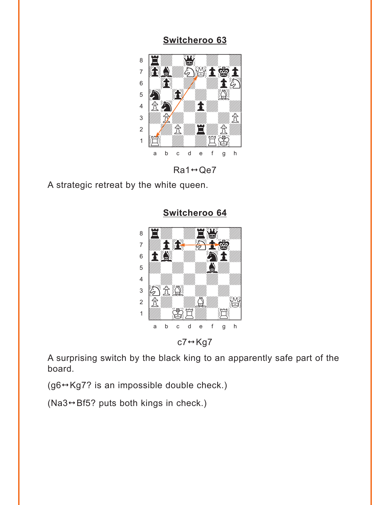### Switcheroo 63

<span id="page-7-0"></span>

 $Ra1 \leftrightarrow Qe7$ 

A strategic retreat by the white queen.

Switcheroo 64



 $c7 \leftrightarrow Kg7$ 

A surprising switch by the black king to an apparently safe part of the board.

(g6↔ Kg7? is an impossible double check.)

(Na3 $\leftrightarrow$ Bf5? puts both kings in check.)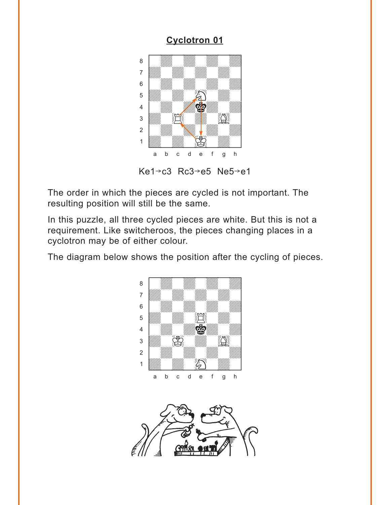## **[Cyclotron 01](#page-2-0)**

<span id="page-8-0"></span>

Ke1 $\rightarrow$ c3 Rc3 $\rightarrow$ e5 Ne5 $\rightarrow$ e1

The order in which the pieces are cycled is not important. The resulting position will still be the same.

In this puzzle, all three cycled pieces are white. But this is not a requirement. Like switcheroos, the pieces changing places in a cyclotron may be of either colour.

The diagram below shows the position after the cycling of pieces.



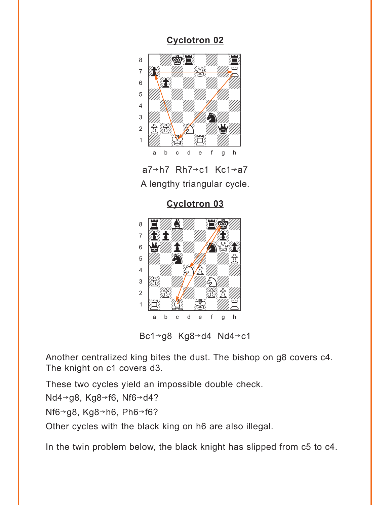### **Cyclotron 02**

<span id="page-9-0"></span>





Bc1 $\rightarrow$ g8 Kg8 $\rightarrow$ d4 Nd4 $\rightarrow$ c1

Another centralized king bites the dust. The bishop on g8 covers c4. The knight on c1 covers d3.

These two cycles yield an impossible double check.

Nd4→g8, Kg8→f6, Nf6→d4?

Nf6 $\rightarrow$ g8, Kg8 $\rightarrow$ h6, Ph6 $\rightarrow$ f6?

Other cycles with the black king on h6 are also illegal.

In the twin problem below, the black knight has slipped from c5 to c4.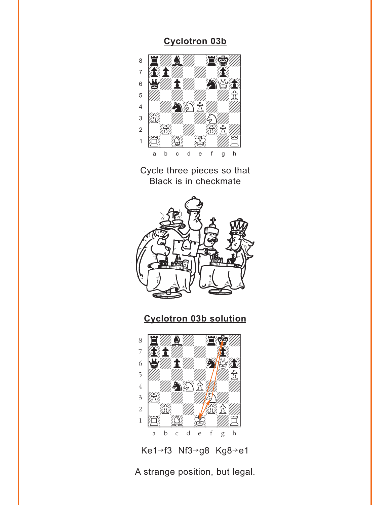#### **Cyclotron 03b**



Cycle three pieces so that Black is in checkmate



**Cyclotron 03b solution**



Ke1-f3 Nf3-g8 Kg8-e1

A strange position, but legal.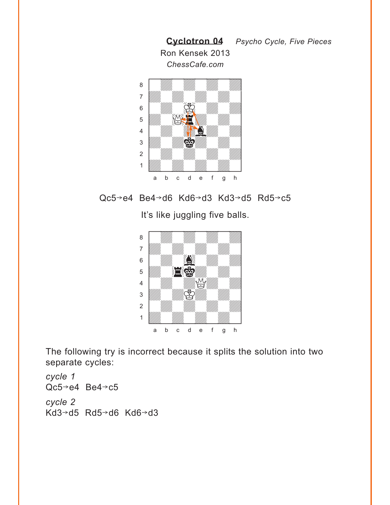<span id="page-11-0"></span>



It's like juggling five balls.



The following try is incorrect because it splits the solution into two separate cycles:

*cycle 1*  $Qc5 \rightarrow e4$  Be4 $\rightarrow c5$ *cycle 2* Kd3→d5 Rd5→d6 Kd6→d3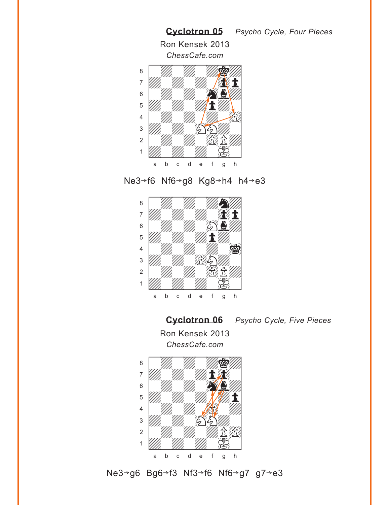<span id="page-12-0"></span>

Ne3-f6 Nf6-g8 Kg8-h4 h4-e3



**[Cyclotron 06](#page-6-0)** *Psycho Cycle, Five Pieces* Ron Kensek 2013 *ChessCafe.com*



Ne3→g6 Bg6→f3 Nf3→f6 Nf6→g7 g7→e3